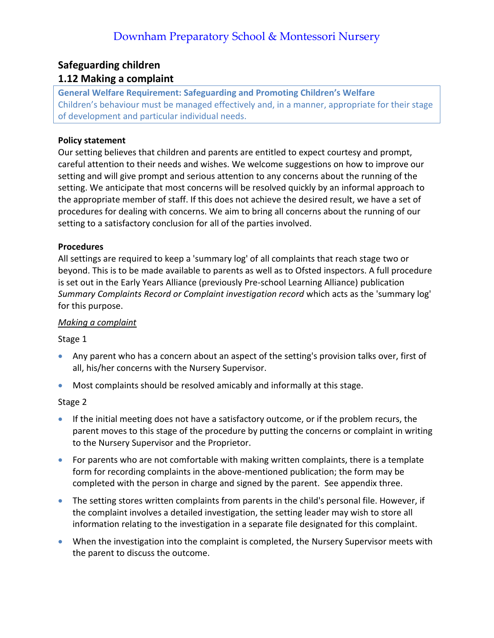### **Safeguarding children**

### **1.12 Making a complaint**

**General Welfare Requirement: Safeguarding and Promoting Children's Welfare** Children's behaviour must be managed effectively and, in a manner, appropriate for their stage of development and particular individual needs.

### **Policy statement**

Our setting believes that children and parents are entitled to expect courtesy and prompt, careful attention to their needs and wishes. We welcome suggestions on how to improve our setting and will give prompt and serious attention to any concerns about the running of the setting. We anticipate that most concerns will be resolved quickly by an informal approach to the appropriate member of staff. If this does not achieve the desired result, we have a set of procedures for dealing with concerns. We aim to bring all concerns about the running of our setting to a satisfactory conclusion for all of the parties involved.

### **Procedures**

All settings are required to keep a 'summary log' of all complaints that reach stage two or beyond. This is to be made available to parents as well as to Ofsted inspectors. A full procedure is set out in the Early Years Alliance (previously Pre-school Learning Alliance) publication *Summary Complaints Record or Complaint investigation record* which acts as the 'summary log' for this purpose.

### *Making a complaint*

### Stage 1

- Any parent who has a concern about an aspect of the setting's provision talks over, first of all, his/her concerns with the Nursery Supervisor.
- Most complaints should be resolved amicably and informally at this stage.

### Stage 2

- If the initial meeting does not have a satisfactory outcome, or if the problem recurs, the parent moves to this stage of the procedure by putting the concerns or complaint in writing to the Nursery Supervisor and the Proprietor.
- For parents who are not comfortable with making written complaints, there is a template form for recording complaints in the above-mentioned publication; the form may be completed with the person in charge and signed by the parent. See appendix three.
- The setting stores written complaints from parents in the child's personal file. However, if the complaint involves a detailed investigation, the setting leader may wish to store all information relating to the investigation in a separate file designated for this complaint.
- When the investigation into the complaint is completed, the Nursery Supervisor meets with the parent to discuss the outcome.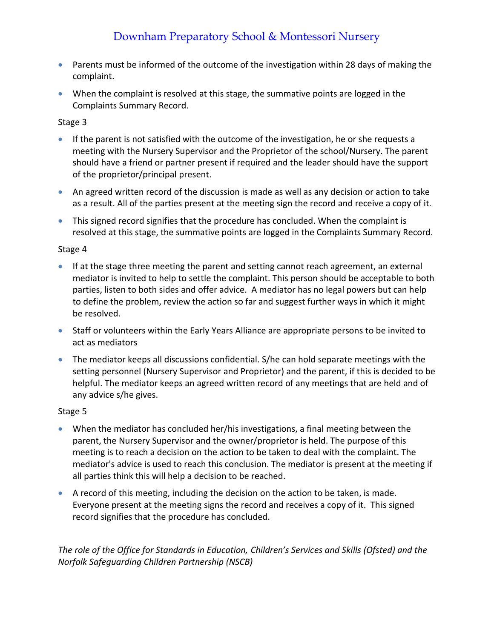# Downham Preparatory School & Montessori Nursery

- Parents must be informed of the outcome of the investigation within 28 days of making the complaint.
- When the complaint is resolved at this stage, the summative points are logged in the Complaints Summary Record.

### Stage 3

- If the parent is not satisfied with the outcome of the investigation, he or she requests a meeting with the Nursery Supervisor and the Proprietor of the school/Nursery. The parent should have a friend or partner present if required and the leader should have the support of the proprietor/principal present.
- An agreed written record of the discussion is made as well as any decision or action to take as a result. All of the parties present at the meeting sign the record and receive a copy of it.
- This signed record signifies that the procedure has concluded. When the complaint is resolved at this stage, the summative points are logged in the Complaints Summary Record.

### Stage 4

- If at the stage three meeting the parent and setting cannot reach agreement, an external mediator is invited to help to settle the complaint. This person should be acceptable to both parties, listen to both sides and offer advice. A mediator has no legal powers but can help to define the problem, review the action so far and suggest further ways in which it might be resolved.
- Staff or volunteers within the Early Years Alliance are appropriate persons to be invited to act as mediators
- The mediator keeps all discussions confidential. S/he can hold separate meetings with the setting personnel (Nursery Supervisor and Proprietor) and the parent, if this is decided to be helpful. The mediator keeps an agreed written record of any meetings that are held and of any advice s/he gives.

### Stage 5

- When the mediator has concluded her/his investigations, a final meeting between the parent, the Nursery Supervisor and the owner/proprietor is held. The purpose of this meeting is to reach a decision on the action to be taken to deal with the complaint. The mediator's advice is used to reach this conclusion. The mediator is present at the meeting if all parties think this will help a decision to be reached.
- A record of this meeting, including the decision on the action to be taken, is made. Everyone present at the meeting signs the record and receives a copy of it. This signed record signifies that the procedure has concluded.

*The role of the Office for Standards in Education, Children's Services and Skills (Ofsted) and the Norfolk Safeguarding Children Partnership (NSCB)*